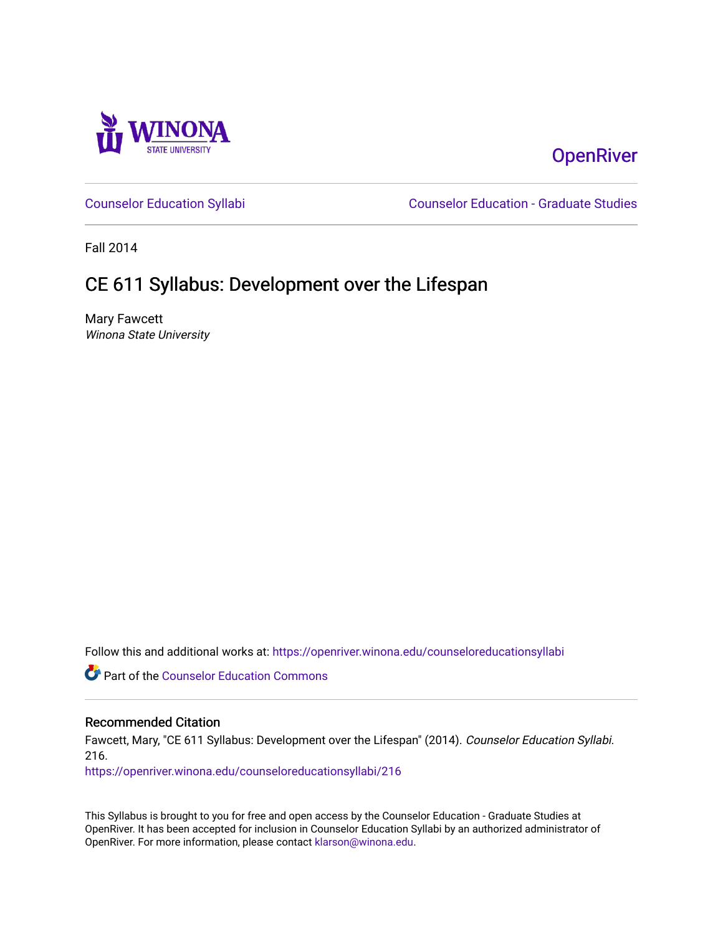

# **OpenRiver**

[Counselor Education Syllabi](https://openriver.winona.edu/counseloreducationsyllabi) [Counselor Education - Graduate Studies](https://openriver.winona.edu/counseloreducation) 

Fall 2014

# CE 611 Syllabus: Development over the Lifespan

Mary Fawcett Winona State University

Follow this and additional works at: [https://openriver.winona.edu/counseloreducationsyllabi](https://openriver.winona.edu/counseloreducationsyllabi?utm_source=openriver.winona.edu%2Fcounseloreducationsyllabi%2F216&utm_medium=PDF&utm_campaign=PDFCoverPages)

Part of the [Counselor Education Commons](http://network.bepress.com/hgg/discipline/1278?utm_source=openriver.winona.edu%2Fcounseloreducationsyllabi%2F216&utm_medium=PDF&utm_campaign=PDFCoverPages) 

# Recommended Citation

Fawcett, Mary, "CE 611 Syllabus: Development over the Lifespan" (2014). Counselor Education Syllabi. 216.

[https://openriver.winona.edu/counseloreducationsyllabi/216](https://openriver.winona.edu/counseloreducationsyllabi/216?utm_source=openriver.winona.edu%2Fcounseloreducationsyllabi%2F216&utm_medium=PDF&utm_campaign=PDFCoverPages)

This Syllabus is brought to you for free and open access by the Counselor Education - Graduate Studies at OpenRiver. It has been accepted for inclusion in Counselor Education Syllabi by an authorized administrator of OpenRiver. For more information, please contact [klarson@winona.edu](mailto:klarson@winona.edu).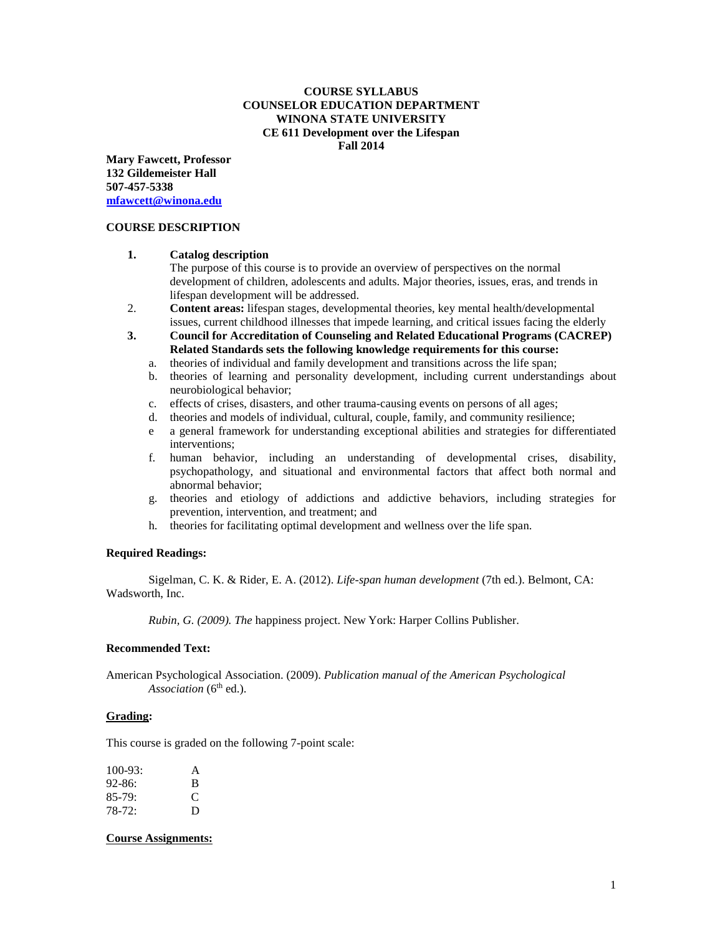# **COURSE SYLLABUS COUNSELOR EDUCATION DEPARTMENT WINONA STATE UNIVERSITY CE 611 Development over the Lifespan Fall 2014**

**Mary Fawcett, Professor 132 Gildemeister Hall 507-457-5338 [mfawcett@winona.edu](mailto:mfawcett@winona.edu)**

#### **COURSE DESCRIPTION**

#### **1. Catalog description**

The purpose of this course is to provide an overview of perspectives on the normal development of children, adolescents and adults. Major theories, issues, eras, and trends in lifespan development will be addressed.

- 2. **Content areas:** lifespan stages, developmental theories, key mental health/developmental issues, current childhood illnesses that impede learning, and critical issues facing the elderly
- **3. Council for Accreditation of Counseling and Related Educational Programs (CACREP) Related Standards sets the following knowledge requirements for this course:**
	- a. theories of individual and family development and transitions across the life span;
	- b. theories of learning and personality development, including current understandings about neurobiological behavior;
	- c. effects of crises, disasters, and other trauma-causing events on persons of all ages;
	- d. theories and models of individual, cultural, couple, family, and community resilience;
	- e a general framework for understanding exceptional abilities and strategies for differentiated interventions;
	- f. human behavior, including an understanding of developmental crises, disability, psychopathology, and situational and environmental factors that affect both normal and abnormal behavior;
	- g. theories and etiology of addictions and addictive behaviors, including strategies for prevention, intervention, and treatment; and
	- h. theories for facilitating optimal development and wellness over the life span.

# **Required Readings:**

Sigelman, C. K. & Rider, E. A. (2012). *Life-span human development* (7th ed.). Belmont, CA: Wadsworth, Inc.

*Rubin, G. (2009). The* happiness project. New York: Harper Collins Publisher.

#### **Recommended Text:**

American Psychological Association. (2009). *Publication manual of the American Psychological*  Association (6<sup>th</sup> ed.).

# **Grading:**

This course is graded on the following 7-point scale:

| $100-93$ : | A |
|------------|---|
| $92 - 86:$ | B |
| $85-79:$   | € |
| 78-72:     | Ð |

#### **Course Assignments:**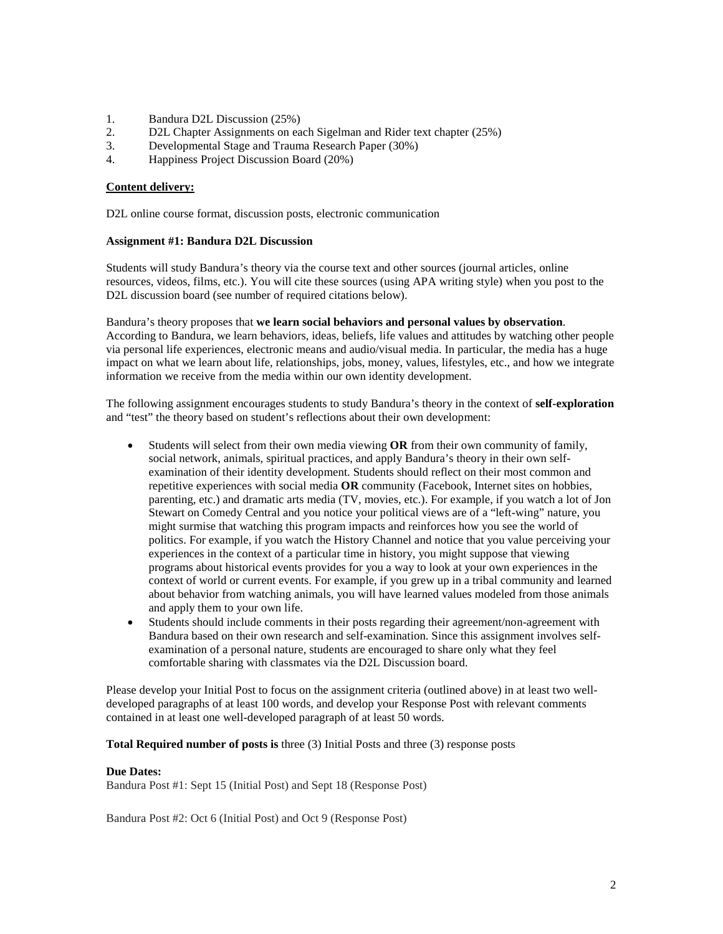- 1. Bandura D2L Discussion (25%)
- 2. D2L Chapter Assignments on each Sigelman and Rider text chapter (25%)
- 3. Developmental Stage and Trauma Research Paper (30%)
- 4. Happiness Project Discussion Board (20%)

### **Content delivery:**

D2L online course format, discussion posts, electronic communication

#### **Assignment #1: Bandura D2L Discussion**

Students will study Bandura's theory via the course text and other sources (journal articles, online resources, videos, films, etc.). You will cite these sources (using APA writing style) when you post to the D2L discussion board (see number of required citations below).

Bandura's theory proposes that **we learn social behaviors and personal values by observation**. According to Bandura, we learn behaviors, ideas, beliefs, life values and attitudes by watching other people via personal life experiences, electronic means and audio/visual media. In particular, the media has a huge impact on what we learn about life, relationships, jobs, money, values, lifestyles, etc., and how we integrate information we receive from the media within our own identity development.

The following assignment encourages students to study Bandura's theory in the context of **self-exploration** and "test" the theory based on student's reflections about their own development:

- Students will select from their own media viewing **OR** from their own community of family, social network, animals, spiritual practices, and apply Bandura's theory in their own selfexamination of their identity development. Students should reflect on their most common and repetitive experiences with social media **OR** community (Facebook, Internet sites on hobbies, parenting, etc.) and dramatic arts media (TV, movies, etc.). For example, if you watch a lot of Jon Stewart on Comedy Central and you notice your political views are of a "left-wing" nature, you might surmise that watching this program impacts and reinforces how you see the world of politics. For example, if you watch the History Channel and notice that you value perceiving your experiences in the context of a particular time in history, you might suppose that viewing programs about historical events provides for you a way to look at your own experiences in the context of world or current events. For example, if you grew up in a tribal community and learned about behavior from watching animals, you will have learned values modeled from those animals and apply them to your own life.
- Students should include comments in their posts regarding their agreement/non-agreement with Bandura based on their own research and self-examination. Since this assignment involves selfexamination of a personal nature, students are encouraged to share only what they feel comfortable sharing with classmates via the D2L Discussion board.

Please develop your Initial Post to focus on the assignment criteria (outlined above) in at least two welldeveloped paragraphs of at least 100 words, and develop your Response Post with relevant comments contained in at least one well-developed paragraph of at least 50 words.

**Total Required number of posts is** three (3) Initial Posts and three (3) response posts

#### **Due Dates:**

Bandura Post #1: Sept 15 (Initial Post) and Sept 18 (Response Post)

Bandura Post #2: Oct 6 (Initial Post) and Oct 9 (Response Post)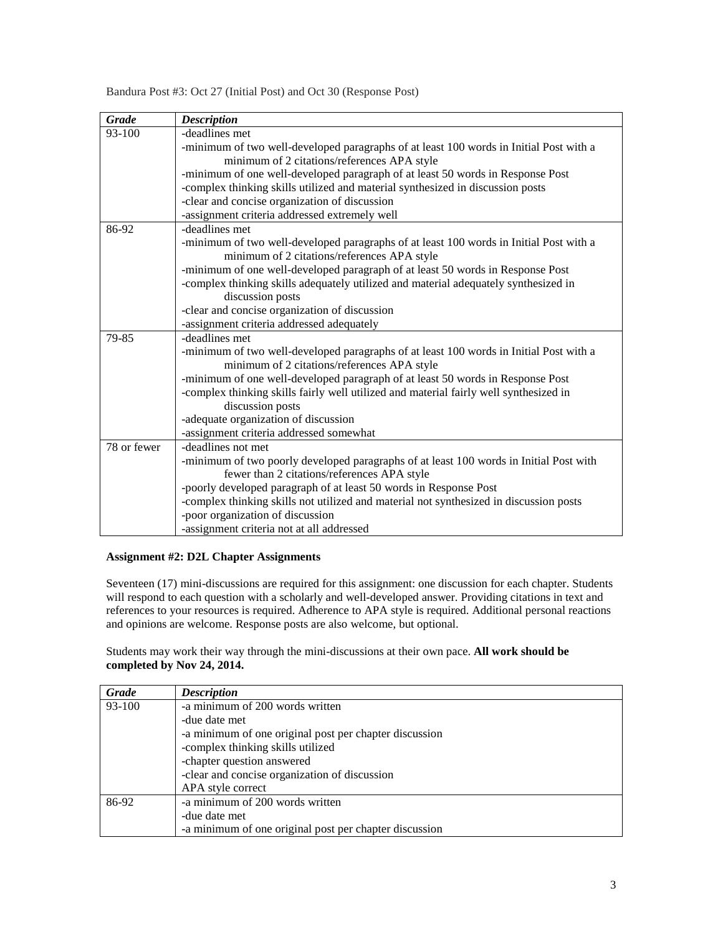| <b>Grade</b> | <b>Description</b>                                                                     |
|--------------|----------------------------------------------------------------------------------------|
| 93-100       | -deadlines met                                                                         |
|              | -minimum of two well-developed paragraphs of at least 100 words in Initial Post with a |
|              | minimum of 2 citations/references APA style                                            |
|              | -minimum of one well-developed paragraph of at least 50 words in Response Post         |
|              | -complex thinking skills utilized and material synthesized in discussion posts         |
|              | -clear and concise organization of discussion                                          |
|              | -assignment criteria addressed extremely well                                          |
| 86-92        | -deadlines met                                                                         |
|              | -minimum of two well-developed paragraphs of at least 100 words in Initial Post with a |
|              | minimum of 2 citations/references APA style                                            |
|              | -minimum of one well-developed paragraph of at least 50 words in Response Post         |
|              | -complex thinking skills adequately utilized and material adequately synthesized in    |
|              | discussion posts                                                                       |
|              | -clear and concise organization of discussion                                          |
|              | -assignment criteria addressed adequately                                              |
| 79-85        | -deadlines met                                                                         |
|              | -minimum of two well-developed paragraphs of at least 100 words in Initial Post with a |
|              | minimum of 2 citations/references APA style                                            |
|              | -minimum of one well-developed paragraph of at least 50 words in Response Post         |
|              | -complex thinking skills fairly well utilized and material fairly well synthesized in  |
|              | discussion posts                                                                       |
|              | -adequate organization of discussion                                                   |
|              | -assignment criteria addressed somewhat                                                |
| 78 or fewer  | -deadlines not met                                                                     |
|              | -minimum of two poorly developed paragraphs of at least 100 words in Initial Post with |
|              | fewer than 2 citations/references APA style                                            |
|              | -poorly developed paragraph of at least 50 words in Response Post                      |
|              | -complex thinking skills not utilized and material not synthesized in discussion posts |
|              | -poor organization of discussion                                                       |
|              | -assignment criteria not at all addressed                                              |

# Bandura Post #3: Oct 27 (Initial Post) and Oct 30 (Response Post)

# **Assignment #2: D2L Chapter Assignments**

Seventeen (17) mini-discussions are required for this assignment: one discussion for each chapter. Students will respond to each question with a scholarly and well-developed answer. Providing citations in text and references to your resources is required. Adherence to APA style is required. Additional personal reactions and opinions are welcome. Response posts are also welcome, but optional.

Students may work their way through the mini-discussions at their own pace. **All work should be completed by Nov 24, 2014.**

| <b>Grade</b> | <b>Description</b>                                     |
|--------------|--------------------------------------------------------|
| 93-100       | -a minimum of 200 words written                        |
|              | -due date met                                          |
|              | -a minimum of one original post per chapter discussion |
|              | -complex thinking skills utilized                      |
|              | -chapter question answered                             |
|              | -clear and concise organization of discussion          |
|              | APA style correct                                      |
| 86-92        | -a minimum of 200 words written                        |
|              | -due date met                                          |
|              | -a minimum of one original post per chapter discussion |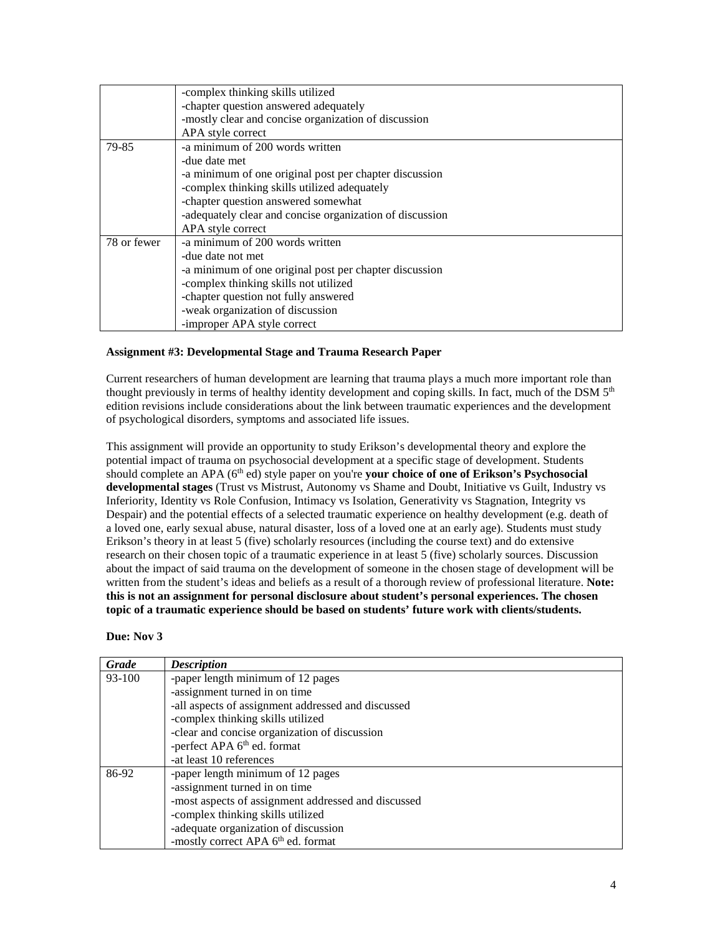|             | -complex thinking skills utilized                        |
|-------------|----------------------------------------------------------|
|             | -chapter question answered adequately                    |
|             | -mostly clear and concise organization of discussion     |
|             | APA style correct                                        |
| 79-85       | -a minimum of 200 words written                          |
|             | -due date met                                            |
|             | a minimum of one original post per chapter discussion    |
|             | -complex thinking skills utilized adequately             |
|             | -chapter question answered somewhat                      |
|             | -adequately clear and concise organization of discussion |
|             | APA style correct                                        |
| 78 or fewer | -a minimum of 200 words written                          |
|             | -due date not met                                        |
|             | -a minimum of one original post per chapter discussion   |
|             | -complex thinking skills not utilized                    |
|             | -chapter question not fully answered                     |
|             | -weak organization of discussion                         |
|             | -improper APA style correct                              |

### **Assignment #3: Developmental Stage and Trauma Research Paper**

Current researchers of human development are learning that trauma plays a much more important role than thought previously in terms of healthy identity development and coping skills. In fact, much of the DSM 5<sup>th</sup> edition revisions include considerations about the link between traumatic experiences and the development of psychological disorders, symptoms and associated life issues.

This assignment will provide an opportunity to study Erikson's developmental theory and explore the potential impact of trauma on psychosocial development at a specific stage of development. Students should complete an APA (6<sup>th</sup> ed) style paper on you're **your choice of one of Erikson's Psychosocial developmental stages** (Trust vs Mistrust, Autonomy vs Shame and Doubt, Initiative vs Guilt, Industry vs Inferiority, Identity vs Role Confusion, Intimacy vs Isolation, Generativity vs Stagnation, Integrity vs Despair) and the potential effects of a selected traumatic experience on healthy development (e.g. death of a loved one, early sexual abuse, natural disaster, loss of a loved one at an early age). Students must study Erikson's theory in at least 5 (five) scholarly resources (including the course text) and do extensive research on their chosen topic of a traumatic experience in at least 5 (five) scholarly sources. Discussion about the impact of said trauma on the development of someone in the chosen stage of development will be written from the student's ideas and beliefs as a result of a thorough review of professional literature. **Note: this is not an assignment for personal disclosure about student's personal experiences. The chosen topic of a traumatic experience should be based on students' future work with clients/students.**

#### **Due: Nov 3**

| Grade  | <b>Description</b>                                  |
|--------|-----------------------------------------------------|
| 93-100 | -paper length minimum of 12 pages                   |
|        | -assignment turned in on time                       |
|        | -all aspects of assignment addressed and discussed  |
|        | -complex thinking skills utilized                   |
|        | -clear and concise organization of discussion       |
|        | -perfect APA 6 <sup>th</sup> ed. format             |
|        | -at least 10 references                             |
| 86-92  | -paper length minimum of 12 pages                   |
|        | -assignment turned in on time                       |
|        | -most aspects of assignment addressed and discussed |
|        | -complex thinking skills utilized                   |
|        | -adequate organization of discussion                |
|        | -mostly correct APA 6 <sup>th</sup> ed. format      |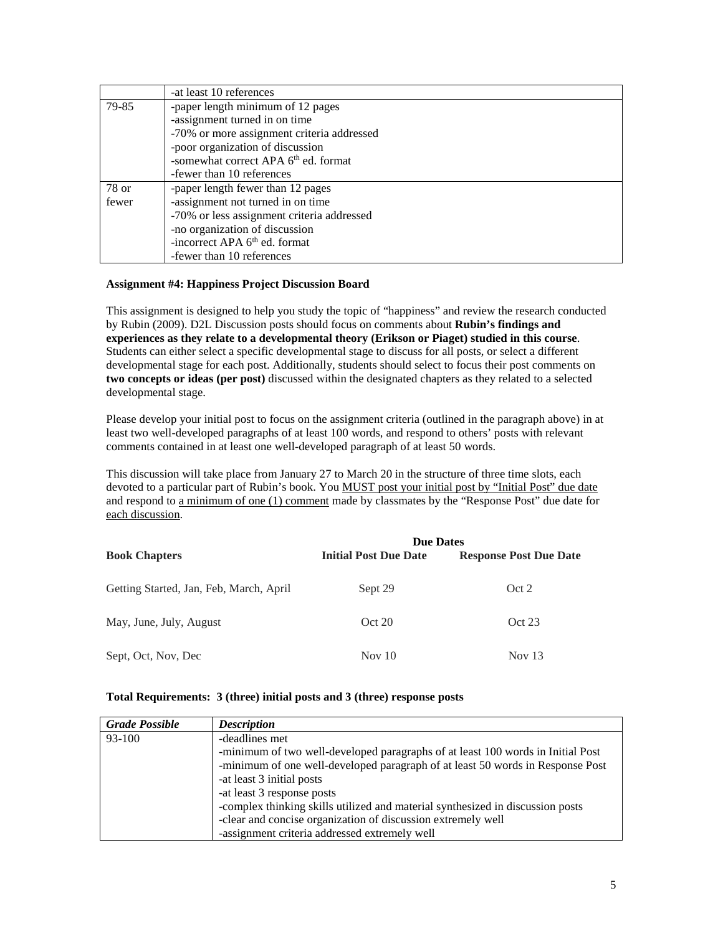|       | -at least 10 references                          |
|-------|--------------------------------------------------|
| 79-85 | -paper length minimum of 12 pages                |
|       | -assignment turned in on time                    |
|       | -70% or more assignment criteria addressed       |
|       | -poor organization of discussion                 |
|       | -somewhat correct APA 6 <sup>th</sup> ed. format |
|       | -fewer than 10 references                        |
| 78 or | -paper length fewer than 12 pages                |
| fewer | -assignment not turned in on time                |
|       | -70% or less assignment criteria addressed       |
|       | -no organization of discussion                   |
|       | -incorrect APA 6 <sup>th</sup> ed. format        |
|       | -fewer than 10 references                        |

### **Assignment #4: Happiness Project Discussion Board**

This assignment is designed to help you study the topic of "happiness" and review the research conducted by Rubin (2009). D2L Discussion posts should focus on comments about **Rubin's findings and experiences as they relate to a developmental theory (Erikson or Piaget) studied in this course**. Students can either select a specific developmental stage to discuss for all posts, or select a different developmental stage for each post. Additionally, students should select to focus their post comments on **two concepts or ideas (per post)** discussed within the designated chapters as they related to a selected developmental stage.

Please develop your initial post to focus on the assignment criteria (outlined in the paragraph above) in at least two well-developed paragraphs of at least 100 words, and respond to others' posts with relevant comments contained in at least one well-developed paragraph of at least 50 words.

This discussion will take place from January 27 to March 20 in the structure of three time slots, each devoted to a particular part of Rubin's book. You MUST post your initial post by "Initial Post" due date and respond to a minimum of one (1) comment made by classmates by the "Response Post" due date for each discussion.

|                                         | <b>Due Dates</b>             |                               |
|-----------------------------------------|------------------------------|-------------------------------|
| <b>Book Chapters</b>                    | <b>Initial Post Due Date</b> | <b>Response Post Due Date</b> |
| Getting Started, Jan, Feb, March, April | Sept 29                      | Oct 2                         |
| May, June, July, August                 | Oct 20                       | Oct 23                        |
| Sept, Oct, Nov, Dec                     | Nov $10$                     | Nov $13$                      |

# **Total Requirements: 3 (three) initial posts and 3 (three) response posts**

| <b>Grade Possible</b> | <b>Description</b>                                                              |
|-----------------------|---------------------------------------------------------------------------------|
| 93-100                | -deadlines met                                                                  |
|                       | -minimum of two well-developed paragraphs of at least 100 words in Initial Post |
|                       | -minimum of one well-developed paragraph of at least 50 words in Response Post  |
|                       | -at least 3 initial posts                                                       |
|                       | -at least 3 response posts                                                      |
|                       | -complex thinking skills utilized and material synthesized in discussion posts  |
|                       | -clear and concise organization of discussion extremely well                    |
|                       | -assignment criteria addressed extremely well                                   |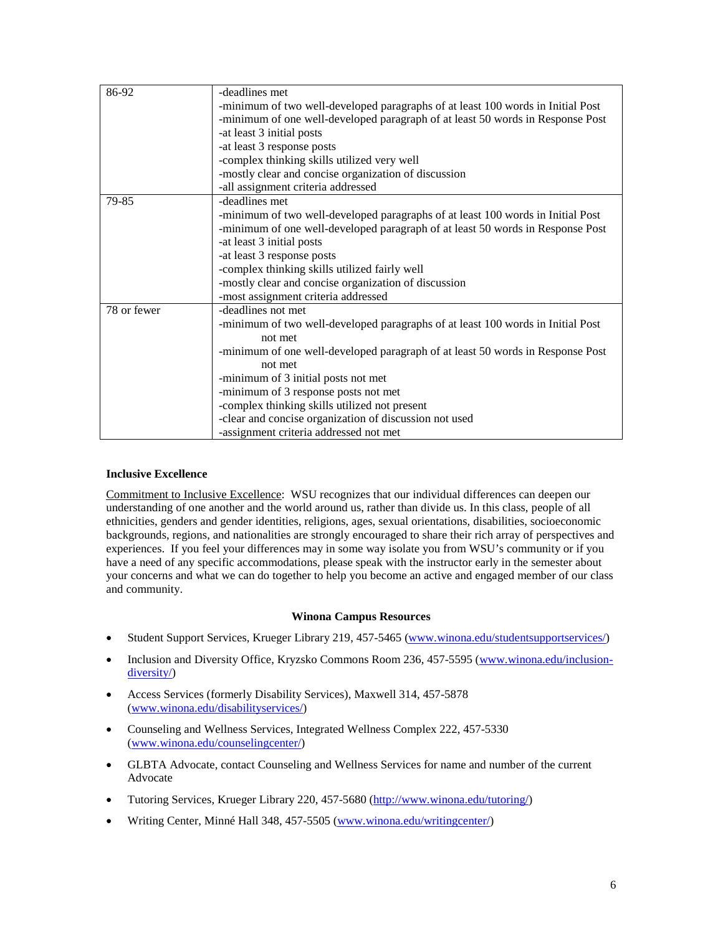| 86-92       | -deadlines met                                                                  |
|-------------|---------------------------------------------------------------------------------|
|             | -minimum of two well-developed paragraphs of at least 100 words in Initial Post |
|             | -minimum of one well-developed paragraph of at least 50 words in Response Post  |
|             | -at least 3 initial posts                                                       |
|             | -at least 3 response posts                                                      |
|             | -complex thinking skills utilized very well                                     |
|             | -mostly clear and concise organization of discussion                            |
|             | -all assignment criteria addressed                                              |
| 79-85       | -deadlines met                                                                  |
|             | -minimum of two well-developed paragraphs of at least 100 words in Initial Post |
|             | -minimum of one well-developed paragraph of at least 50 words in Response Post  |
|             | -at least 3 initial posts                                                       |
|             | -at least 3 response posts                                                      |
|             | -complex thinking skills utilized fairly well                                   |
|             | -mostly clear and concise organization of discussion                            |
|             | -most assignment criteria addressed                                             |
| 78 or fewer | -deadlines not met                                                              |
|             | -minimum of two well-developed paragraphs of at least 100 words in Initial Post |
|             | not met                                                                         |
|             | -minimum of one well-developed paragraph of at least 50 words in Response Post  |
|             | not met                                                                         |
|             | -minimum of 3 initial posts not met                                             |
|             | -minimum of 3 response posts not met                                            |
|             | -complex thinking skills utilized not present                                   |
|             | -clear and concise organization of discussion not used                          |
|             | -assignment criteria addressed not met                                          |

# **Inclusive Excellence**

Commitment to Inclusive Excellence: WSU recognizes that our individual differences can deepen our understanding of one another and the world around us, rather than divide us. In this class, people of all ethnicities, genders and gender identities, religions, ages, sexual orientations, disabilities, socioeconomic backgrounds, regions, and nationalities are strongly encouraged to share their rich array of perspectives and experiences. If you feel your differences may in some way isolate you from WSU's community or if you have a need of any specific accommodations, please speak with the instructor early in the semester about your concerns and what we can do together to help you become an active and engaged member of our class and community.

# **Winona Campus Resources**

- Student Support Services, Krueger Library 219, 457-5465 [\(www.winona.edu/studentsupportservices/\)](http://www.winona.edu/studentsupportservices/)
- Inclusion and Diversity Office, Kryzsko Commons Room 236, 457-5595 [\(www.winona.edu/inclusion](http://www.winona.edu/inclusion-diversity/)[diversity/\)](http://www.winona.edu/inclusion-diversity/)
- Access Services (formerly Disability Services), Maxwell 314, 457-5878 [\(www.winona.edu/disabilityservices/\)](http://www.winona.edu/disabilityservices/)
- Counseling and Wellness Services, Integrated Wellness Complex 222, 457-5330 [\(www.winona.edu/counselingcenter/\)](http://www.winona.edu/counselingcenter/)
- GLBTA Advocate, contact Counseling and Wellness Services for name and number of the current Advocate
- Tutoring Services, Krueger Library 220, 457-5680 [\(http://www.winona.edu/tutoring/\)](http://www.winona.edu/tutoring/)
- Writing Center, Minné Hall 348, 457-5505 [\(www.winona.edu/writingcenter/\)](http://www.winona.edu/writingcenter/)